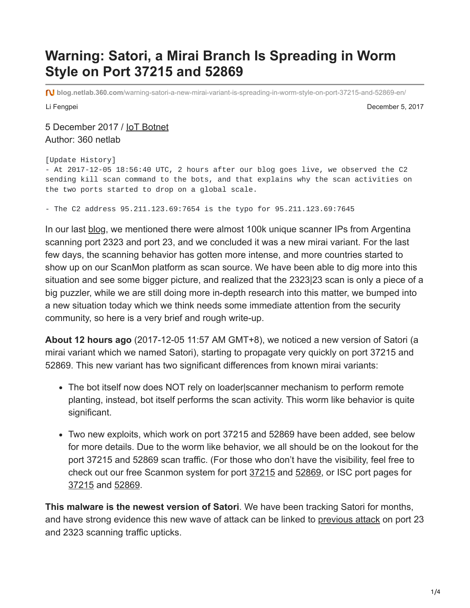## **Warning: Satori, a Mirai Branch Is Spreading in Worm Style on Port 37215 and 52869**

**blog.netlab.360.com**[/warning-satori-a-new-mirai-variant-is-spreading-in-worm-style-on-port-37215-and-52869-en/](http://blog.netlab.360.com/warning-satori-a-new-mirai-variant-is-spreading-in-worm-style-on-port-37215-and-52869-en/)

Li Fengpei December 5, 2017

5 December 2017 / [IoT Botnet](http://blog.netlab.360.com/tag/iot-botnet/) Author: 360 netlab

```
[Update History]
```
- At 2017-12-05 18:56:40 UTC, 2 hours after our blog goes live, we observed the C2 sending kill scan command to the bots, and that explains why the scan activities on the two ports started to drop on a global scale.

- The C2 address 95.211.123.69:7654 is the typo for 95.211.123.69:7645

In our last [blog,](http://blog.netlab.360.com/early-warning-a-new-mirai-variant-is-spreading-quickly-on-port-23-and-2323-en/) we mentioned there were almost 100k unique scanner IPs from Argentina scanning port 2323 and port 23, and we concluded it was a new mirai variant. For the last few days, the scanning behavior has gotten more intense, and more countries started to show up on our ScanMon platform as scan source. We have been able to dig more into this situation and see some bigger picture, and realized that the 2323|23 scan is only a piece of a big puzzler, while we are still doing more in-depth research into this matter, we bumped into a new situation today which we think needs some immediate attention from the security community, so here is a very brief and rough write-up.

**About 12 hours ago** (2017-12-05 11:57 AM GMT+8), we noticed a new version of Satori (a mirai variant which we named Satori), starting to propagate very quickly on port 37215 and 52869. This new variant has two significant differences from known mirai variants:

- The bot itself now does NOT rely on loader scanner mechanism to perform remote planting, instead, bot itself performs the scan activity. This worm like behavior is quite significant.
- Two new exploits, which work on port 37215 and 52869 have been added, see below for more details. Due to the worm like behavior, we all should be on the lookout for the port 37215 and 52869 scan traffic. (For those who don't have the visibility, feel free to check out our free Scanmon system for port [37215](http://scan.netlab.360.com/#/dashboard?tsbeg=1511884800000&tsend=1512489600000&dstport=37215&toplistname=srcip&topn=10&sortby=sum) and [52869](http://scan.netlab.360.com/#/dashboard?tsbeg=1511884800000&tsend=1512489600000&dstport=52869&toplistname=srcip&topn=10&sortby=sum), or ISC port pages for [37215](https://isc.sans.edu/port.html?port=37215) and [52869](https://isc.sans.edu/port.html?port=52869).

**This malware is the newest version of Satori**. We have been tracking Satori for months, and have strong evidence this new wave of attack can be linked to [previous attack](http://blog.netlab.360.com/early-warning-a-new-mirai-variant-is-spreading-quickly-on-port-23-and-2323-en/) on port 23 and 2323 scanning traffic upticks.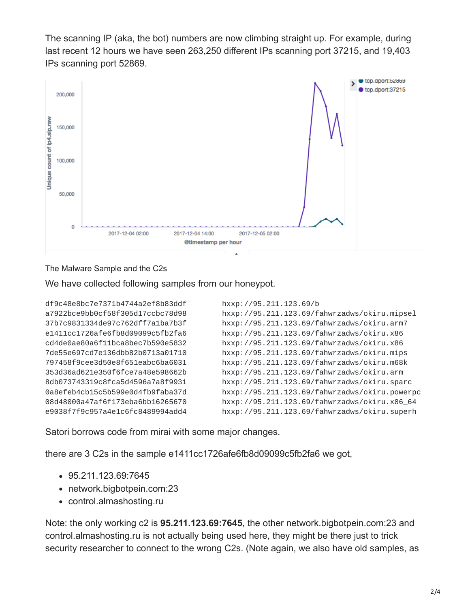The scanning IP (aka, the bot) numbers are now climbing straight up. For example, during last recent 12 hours we have seen 263,250 different IPs scanning port 37215, and 19,403 IPs scanning port 52869.



The Malware Sample and the C2s

We have collected following samples from our honeypot.

```
df9c48e8bc7e7371b4744a2ef8b83ddf hxxp://95.211.123.69/b
a7922bce9bb0cf58f305d17ccbc78d98 hxxp://95.211.123.69/fahwrzadws/okiru.mipsel
37b7c9831334de97c762dff7a1ba7b3f hxxp://95.211.123.69/fahwrzadws/okiru.arm7
e1411cc1726afe6fb8d09099c5fb2fa6 hxxp://95.211.123.69/fahwrzadws/okiru.x86
cd4de0ae80a6f11bca8bec7b590e5832 hxxp://95.211.123.69/fahwrzadws/okiru.x86
7de55e697cd7e136dbb82b0713a01710 hxxp://95.211.123.69/fahwrzadws/okiru.mips
797458f9cee3d50e8f651eabc6ba6031 hxxp://95.211.123.69/fahwrzadws/okiru.m68k
353d36ad621e350f6fce7a48e598662b hxxp://95.211.123.69/fahwrzadws/okiru.arm
8db073743319c8fca5d4596a7a8f9931 hxxp://95.211.123.69/fahwrzadws/okiru.sparc
0a8efeb4cb15c5b599e0d4fb9faba37d hxxp://95.211.123.69/fahwrzadws/okiru.powerpc
08d48000a47af6f173eba6bb16265670 hxxp://95.211.123.69/fahwrzadws/okiru.x86_64
e9038f7f9c957a4e1c6fc8489994add4 hxxp://95.211.123.69/fahwrzadws/okiru.superh
```
Satori borrows code from mirai with some major changes.

there are 3 C2s in the sample e1411cc1726afe6fb8d09099c5fb2fa6 we got,

- 95.211.123.69:7645
- network.bigbotpein.com:23
- control.almashosting.ru

Note: the only working c2 is **95.211.123.69:7645**, the other network.bigbotpein.com:23 and control.almashosting.ru is not actually being used here, they might be there just to trick security researcher to connect to the wrong C2s. (Note again, we also have old samples, as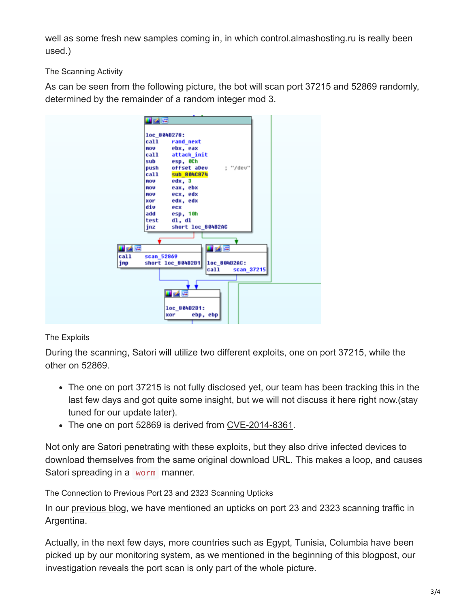well as some fresh new samples coming in, in which control. almashosting. ru is really been used.)

The Scanning Activity

As can be seen from the following picture, the bot will scan port 37215 and 52869 randomly, determined by the remainder of a random integer mod 3.

| 國國         |                                   |
|------------|-----------------------------------|
|            |                                   |
|            | loc 804B278:                      |
| call       | rand next                         |
| <b>MOU</b> | ebx, eax                          |
| call       | attack_init                       |
| sub        | esp, OCh                          |
| push       | offset aDeu<br>; "/dev"           |
| call       | <b>Sub 884C874</b>                |
| <b>NOV</b> | edx, 3                            |
| <b>mou</b> | eax, ebx                          |
| <b>NOV</b> | ecx, edx                          |
| xor        | edx, edx                          |
| div        | ecx                               |
| add        | esp, 10h                          |
| test       | d1, d1                            |
| jnz        | short loc_804B2AC                 |
|            |                                   |
|            |                                   |
| 耳番座        | 西省區                               |
| ca11       | scan_52869                        |
| jnp        | short loc_804B2B1<br>loc_804B2AC: |
|            | call<br>scan_37215                |
|            |                                   |
|            |                                   |
|            |                                   |
|            | 耳式障                               |
|            |                                   |
|            | loc 804B2B1:                      |
|            | ebp, ebp<br>xor                   |
|            |                                   |

## The Exploits

During the scanning, Satori will utilize two different exploits, one on port 37215, while the other on 52869.

- The one on port 37215 is not fully disclosed yet, our team has been tracking this in the last few days and got quite some insight, but we will not discuss it here right now.(stay tuned for our update later).
- The one on port 52869 is derived from [CVE-2014-8361.](https://www.exploit-db.com/exploits/37169/)

Not only are Satori penetrating with these exploits, but they also drive infected devices to download themselves from the same original download URL. This makes a loop, and causes Satori spreading in a worm manner.

The Connection to Previous Port 23 and 2323 Scanning Upticks

In our [previous blog](http://blog.netlab.360.com/early-warning-a-new-mirai-variant-is-spreading-quickly-on-port-23-and-2323-en/), we have mentioned an upticks on port 23 and 2323 scanning traffic in Argentina.

Actually, in the next few days, more countries such as Egypt, Tunisia, Columbia have been picked up by our monitoring system, as we mentioned in the beginning of this blogpost, our investigation reveals the port scan is only part of the whole picture.